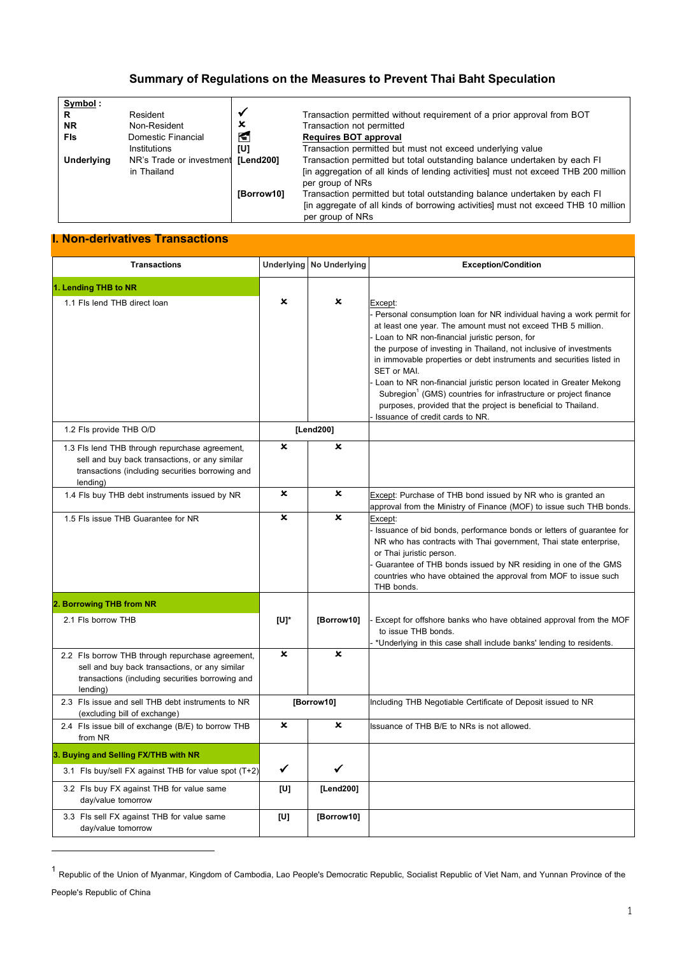## **Summary of Regulations on the Measures to Prevent Thai Baht Speculation**

| Symbol:           |                          |            |                                                                                                         |
|-------------------|--------------------------|------------|---------------------------------------------------------------------------------------------------------|
| R                 | Resident                 |            | Transaction permitted without requirement of a prior approval from BOT                                  |
| ΝR                | Non-Resident             | x          | Transaction not permitted                                                                               |
| Fis               | Domestic Financial       | К          | <b>Requires BOT approval</b>                                                                            |
|                   | Institutions             | [U]        | Transaction permitted but must not exceed underlying value                                              |
| <b>Underlying</b> | NR's Trade or investment | [Lend200]  | Transaction permitted but total outstanding balance undertaken by each FI                               |
|                   | in Thailand              |            | [in aggregation of all kinds of lending activities] must not exceed THB 200 million<br>per group of NRs |
|                   |                          | [Borrow10] | Transaction permitted but total outstanding balance undertaken by each FI                               |
|                   |                          |            | [in aggregate of all kinds of borrowing activities] must not exceed THB 10 million<br>per group of NRs  |

## **I. Non-derivatives Transactions**

| <b>Transactions</b>                                                                                                                                                |             | Underlying No Underlying  | <b>Exception/Condition</b>                                                                                                                                                                                                                                                                                                                                                                                                                                                                                                                                                                                               |
|--------------------------------------------------------------------------------------------------------------------------------------------------------------------|-------------|---------------------------|--------------------------------------------------------------------------------------------------------------------------------------------------------------------------------------------------------------------------------------------------------------------------------------------------------------------------------------------------------------------------------------------------------------------------------------------------------------------------------------------------------------------------------------------------------------------------------------------------------------------------|
| 1. Lending THB to NR                                                                                                                                               |             |                           |                                                                                                                                                                                                                                                                                                                                                                                                                                                                                                                                                                                                                          |
| 1.1 Fls lend THB direct loan                                                                                                                                       | ×           | ×                         | Except:<br>Personal consumption loan for NR individual having a work permit for<br>at least one year. The amount must not exceed THB 5 million.<br>Loan to NR non-financial juristic person, for<br>the purpose of investing in Thailand, not inclusive of investments<br>in immovable properties or debt instruments and securities listed in<br>SET or MAI.<br>Loan to NR non-financial juristic person located in Greater Mekong<br>Subregion <sup>1</sup> (GMS) countries for infrastructure or project finance<br>purposes, provided that the project is beneficial to Thailand.<br>Issuance of credit cards to NR. |
| 1.2 Fls provide THB O/D                                                                                                                                            |             | [Lend200]                 |                                                                                                                                                                                                                                                                                                                                                                                                                                                                                                                                                                                                                          |
| 1.3 Fls lend THB through repurchase agreement,<br>sell and buy back transactions, or any similar<br>transactions (including securities borrowing and<br>lending)   | ×           | ×                         |                                                                                                                                                                                                                                                                                                                                                                                                                                                                                                                                                                                                                          |
| 1.4 Fls buy THB debt instruments issued by NR                                                                                                                      | ×           | ×                         | Except: Purchase of THB bond issued by NR who is granted an<br>approval from the Ministry of Finance (MOF) to issue such THB bonds.                                                                                                                                                                                                                                                                                                                                                                                                                                                                                      |
| 1.5 Fls issue THB Guarantee for NR                                                                                                                                 | ×           | $\boldsymbol{\mathsf{x}}$ | Except:<br>Issuance of bid bonds, performance bonds or letters of guarantee for<br>NR who has contracts with Thai government, Thai state enterprise,<br>or Thai juristic person.<br>Guarantee of THB bonds issued by NR residing in one of the GMS<br>countries who have obtained the approval from MOF to issue such<br>THB bonds.                                                                                                                                                                                                                                                                                      |
| 2. Borrowing THB from NR                                                                                                                                           |             |                           |                                                                                                                                                                                                                                                                                                                                                                                                                                                                                                                                                                                                                          |
| 2.1 Fls borrow THB                                                                                                                                                 | [U]*        | [Borrow10]                | Except for offshore banks who have obtained approval from the MOF<br>to issue THB bonds.<br>*Underlying in this case shall include banks' lending to residents.                                                                                                                                                                                                                                                                                                                                                                                                                                                          |
| 2.2 Fls borrow THB through repurchase agreement,<br>sell and buy back transactions, or any similar<br>transactions (including securities borrowing and<br>lending) | $\mathbf x$ | $\mathbf x$               |                                                                                                                                                                                                                                                                                                                                                                                                                                                                                                                                                                                                                          |
| 2.3 Fls issue and sell THB debt instruments to NR<br>(excluding bill of exchange)                                                                                  |             | [Borrow10]                | Including THB Negotiable Certificate of Deposit issued to NR                                                                                                                                                                                                                                                                                                                                                                                                                                                                                                                                                             |
| 2.4 Fls issue bill of exchange (B/E) to borrow THB<br>from NR                                                                                                      | $\mathbf x$ | $\boldsymbol{\mathsf{x}}$ | Issuance of THB B/E to NRs is not allowed.                                                                                                                                                                                                                                                                                                                                                                                                                                                                                                                                                                               |
| 3. Buying and Selling FX/THB with NR                                                                                                                               |             |                           |                                                                                                                                                                                                                                                                                                                                                                                                                                                                                                                                                                                                                          |
| 3.1 Fls buy/sell FX against THB for value spot (T+2)                                                                                                               | ✓           | ✓                         |                                                                                                                                                                                                                                                                                                                                                                                                                                                                                                                                                                                                                          |
| 3.2 Fls buy FX against THB for value same<br>day/value tomorrow                                                                                                    | [U]         | [Lend200]                 |                                                                                                                                                                                                                                                                                                                                                                                                                                                                                                                                                                                                                          |
| 3.3 Fls sell FX against THB for value same<br>day/value tomorrow                                                                                                   | [U]         | [Borrow10]                |                                                                                                                                                                                                                                                                                                                                                                                                                                                                                                                                                                                                                          |

<sup>1</sup> Republic of the Union of Myanmar, Kingdom of Cambodia, Lao People's Democratic Republic, Socialist Republic of Viet Nam, and Yunnan Province of the

<sup>-</sup>